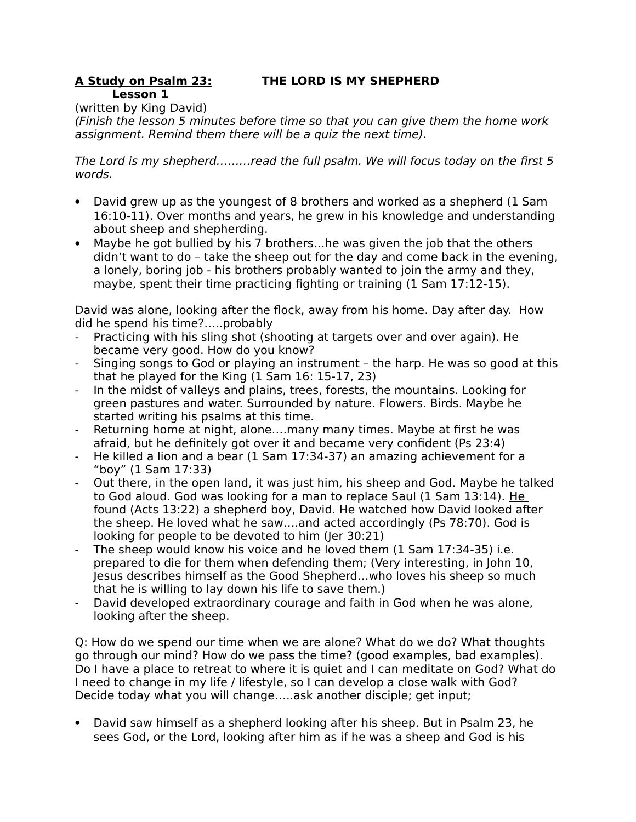#### **A Study on Psalm 23: THE LORD IS MY SHEPHERD Lesson 1**

(written by King David)

(Finish the lesson 5 minutes before time so that you can give them the home work assignment. Remind them there will be a quiz the next time).

The Lord is my shepherd………read the full psalm. We will focus today on the first 5 words.

- David grew up as the youngest of 8 brothers and worked as a shepherd (1 Sam 16:10-11). Over months and years, he grew in his knowledge and understanding about sheep and shepherding.
- Maybe he got bullied by his 7 brothers…he was given the job that the others didn't want to do – take the sheep out for the day and come back in the evening, a lonely, boring job - his brothers probably wanted to join the army and they, maybe, spent their time practicing fighting or training (1 Sam 17:12-15).

David was alone, looking after the flock, away from his home. Day after day. How did he spend his time?…..probably

- Practicing with his sling shot (shooting at targets over and over again). He became very good. How do you know?
- Singing songs to God or playing an instrument the harp. He was so good at this that he played for the King (1 Sam 16: 15-17, 23)
- In the midst of valleys and plains, trees, forests, the mountains. Looking for green pastures and water. Surrounded by nature. Flowers. Birds. Maybe he started writing his psalms at this time.
- Returning home at night, alone….many many times. Maybe at first he was afraid, but he definitely got over it and became very confident (Ps 23:4)
- He killed a lion and a bear (1 Sam 17:34-37) an amazing achievement for a "boy" (1 Sam 17:33)
- Out there, in the open land, it was just him, his sheep and God. Maybe he talked to God aloud. God was looking for a man to replace Saul (1 Sam 13:14). He found (Acts 13:22) a shepherd boy, David. He watched how David looked after the sheep. He loved what he saw….and acted accordingly (Ps 78:70). God is looking for people to be devoted to him (Jer 30:21)
- The sheep would know his voice and he loved them (1 Sam 17:34-35) i.e. prepared to die for them when defending them; (Very interesting, in John 10, Jesus describes himself as the Good Shepherd…who loves his sheep so much that he is willing to lay down his life to save them.)
- David developed extraordinary courage and faith in God when he was alone, looking after the sheep.

Q: How do we spend our time when we are alone? What do we do? What thoughts go through our mind? How do we pass the time? (good examples, bad examples). Do I have a place to retreat to where it is quiet and I can meditate on God? What do I need to change in my life / lifestyle, so I can develop a close walk with God? Decide today what you will change…..ask another disciple; get input;

 David saw himself as a shepherd looking after his sheep. But in Psalm 23, he sees God, or the Lord, looking after him as if he was a sheep and God is his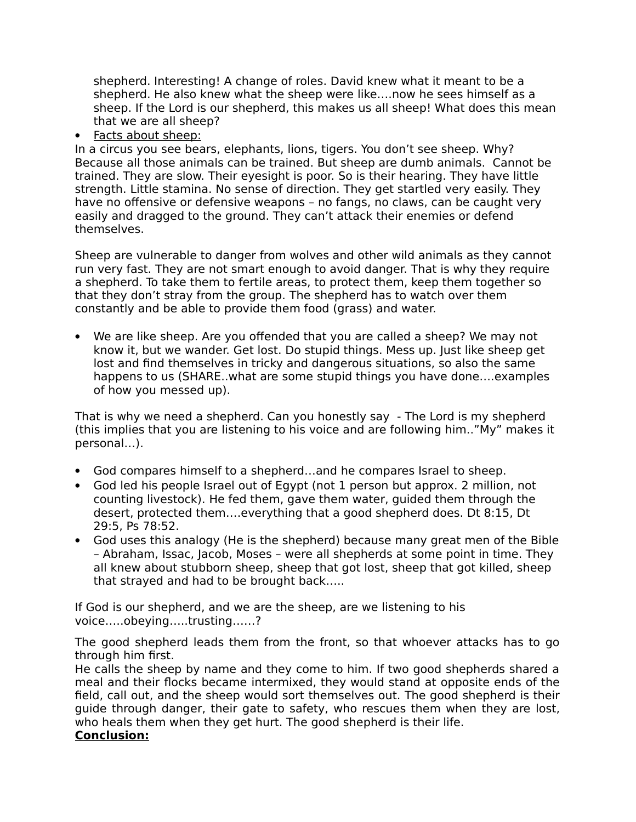shepherd. Interesting! A change of roles. David knew what it meant to be a shepherd. He also knew what the sheep were like….now he sees himself as a sheep. If the Lord is our shepherd, this makes us all sheep! What does this mean that we are all sheep?

• Facts about sheep:

In a circus you see bears, elephants, lions, tigers. You don't see sheep. Why? Because all those animals can be trained. But sheep are dumb animals. Cannot be trained. They are slow. Their eyesight is poor. So is their hearing. They have little strength. Little stamina. No sense of direction. They get startled very easily. They have no offensive or defensive weapons – no fangs, no claws, can be caught very easily and dragged to the ground. They can't attack their enemies or defend themselves.

Sheep are vulnerable to danger from wolves and other wild animals as they cannot run very fast. They are not smart enough to avoid danger. That is why they require a shepherd. To take them to fertile areas, to protect them, keep them together so that they don't stray from the group. The shepherd has to watch over them constantly and be able to provide them food (grass) and water.

 We are like sheep. Are you offended that you are called a sheep? We may not know it, but we wander. Get lost. Do stupid things. Mess up. Just like sheep get lost and find themselves in tricky and dangerous situations, so also the same happens to us (SHARE..what are some stupid things you have done….examples of how you messed up).

That is why we need a shepherd. Can you honestly say - The Lord is my shepherd (this implies that you are listening to his voice and are following him.."My" makes it personal…).

- God compares himself to a shepherd…and he compares Israel to sheep.
- God led his people Israel out of Egypt (not 1 person but approx. 2 million, not counting livestock). He fed them, gave them water, guided them through the desert, protected them….everything that a good shepherd does. Dt 8:15, Dt 29:5, Ps 78:52.
- God uses this analogy (He is the shepherd) because many great men of the Bible – Abraham, Issac, Jacob, Moses – were all shepherds at some point in time. They all knew about stubborn sheep, sheep that got lost, sheep that got killed, sheep that strayed and had to be brought back…..

If God is our shepherd, and we are the sheep, are we listening to his voice…..obeying…..trusting……?

The good shepherd leads them from the front, so that whoever attacks has to go through him first.

He calls the sheep by name and they come to him. If two good shepherds shared a meal and their flocks became intermixed, they would stand at opposite ends of the field, call out, and the sheep would sort themselves out. The good shepherd is their guide through danger, their gate to safety, who rescues them when they are lost, who heals them when they get hurt. The good shepherd is their life.

# **Conclusion:**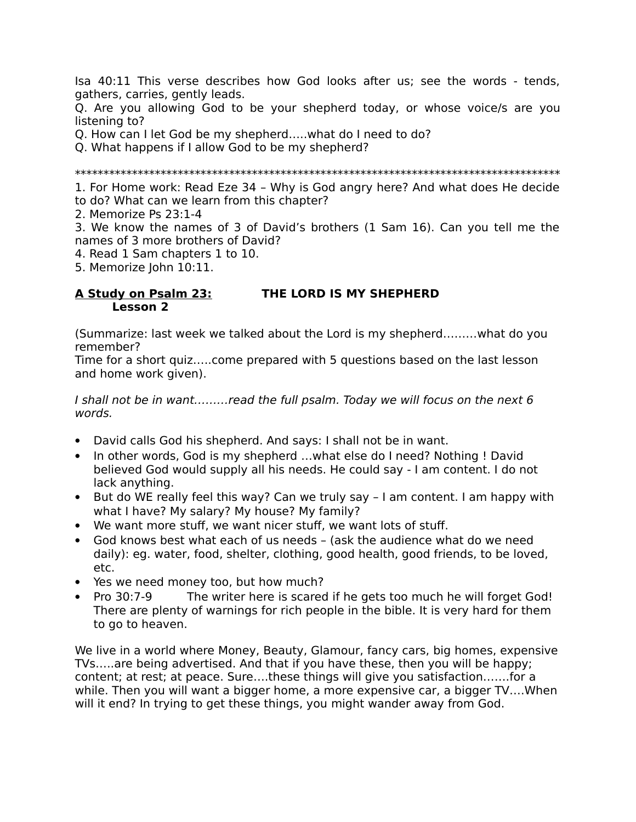Isa 40:11 This verse describes how God looks after us; see the words - tends, gathers, carries, gently leads.

Q. Are you allowing God to be your shepherd today, or whose voice/s are you listening to?

Q. How can I let God be my shepherd…..what do I need to do?

Q. What happens if I allow God to be my shepherd?

\*\*\*\*\*\*\*\*\*\*\*\*\*\*\*\*\*\*\*\*\*\*\*\*\*\*\*\*\*\*\*\*\*\*\*\*\*\*\*\*\*\*\*\*\*\*\*\*\*\*\*\*\*\*\*\*\*\*\*\*\*\*\*\*\*\*\*\*\*\*\*\*\*\*\*\*\*\*\*\*\*\*\*\*\*

1. For Home work: Read Eze 34 – Why is God angry here? And what does He decide to do? What can we learn from this chapter?

2. Memorize Ps 23:1-4

3. We know the names of 3 of David's brothers (1 Sam 16). Can you tell me the names of 3 more brothers of David?

4. Read 1 Sam chapters 1 to 10.

5. Memorize John 10:11.

# **A Study on Psalm 23: THE LORD IS MY SHEPHERD Lesson 2**

(Summarize: last week we talked about the Lord is my shepherd………what do you remember?

Time for a short quiz…..come prepared with 5 questions based on the last lesson and home work given).

I shall not be in want………read the full psalm. Today we will focus on the next 6 words.

- David calls God his shepherd. And says: I shall not be in want.
- In other words, God is my shepherd ... what else do I need? Nothing ! David believed God would supply all his needs. He could say - I am content. I do not lack anything.
- But do WE really feel this way? Can we truly say I am content. I am happy with what I have? My salary? My house? My family?
- We want more stuff, we want nicer stuff, we want lots of stuff.
- God knows best what each of us needs (ask the audience what do we need daily): eg. water, food, shelter, clothing, good health, good friends, to be loved, etc.
- Yes we need money too, but how much?
- Pro 30:7-9 The writer here is scared if he gets too much he will forget God! There are plenty of warnings for rich people in the bible. It is very hard for them to go to heaven.

We live in a world where Money, Beauty, Glamour, fancy cars, big homes, expensive TVs…..are being advertised. And that if you have these, then you will be happy; content; at rest; at peace. Sure….these things will give you satisfaction…….for a while. Then you will want a bigger home, a more expensive car, a bigger TV….When will it end? In trying to get these things, you might wander away from God.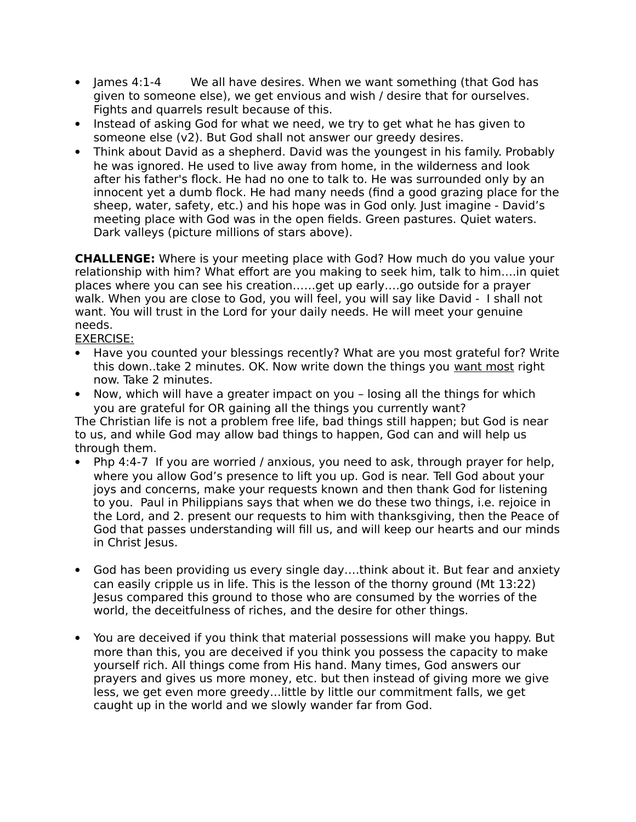- James 4:1-4 We all have desires. When we want something (that God has given to someone else), we get envious and wish / desire that for ourselves. Fights and quarrels result because of this.
- Instead of asking God for what we need, we try to get what he has given to someone else (v2). But God shall not answer our greedy desires.
- Think about David as a shepherd. David was the youngest in his family. Probably he was ignored. He used to live away from home, in the wilderness and look after his father's flock. He had no one to talk to. He was surrounded only by an innocent yet a dumb flock. He had many needs (find a good grazing place for the sheep, water, safety, etc.) and his hope was in God only. Just imagine - David's meeting place with God was in the open fields. Green pastures. Quiet waters. Dark valleys (picture millions of stars above).

**CHALLENGE:** Where is your meeting place with God? How much do you value your relationship with him? What effort are you making to seek him, talk to him….in quiet places where you can see his creation……get up early….go outside for a prayer walk. When you are close to God, you will feel, you will say like David - I shall not want. You will trust in the Lord for your daily needs. He will meet your genuine needs.

EXERCISE:

- Have you counted your blessings recently? What are you most grateful for? Write this down..take 2 minutes. OK. Now write down the things you want most right now. Take 2 minutes.
- Now, which will have a greater impact on you losing all the things for which you are grateful for OR gaining all the things you currently want?

The Christian life is not a problem free life, bad things still happen; but God is near to us, and while God may allow bad things to happen, God can and will help us through them.

- Php 4:4-7 If you are worried / anxious, you need to ask, through prayer for help, where you allow God's presence to lift you up. God is near. Tell God about your joys and concerns, make your requests known and then thank God for listening to you. Paul in Philippians says that when we do these two things, i.e. rejoice in the Lord, and 2. present our requests to him with thanksgiving, then the Peace of God that passes understanding will fill us, and will keep our hearts and our minds in Christ Jesus.
- God has been providing us every single day….think about it. But fear and anxiety can easily cripple us in life. This is the lesson of the thorny ground (Mt 13:22) Jesus compared this ground to those who are consumed by the worries of the world, the deceitfulness of riches, and the desire for other things.
- You are deceived if you think that material possessions will make you happy. But more than this, you are deceived if you think you possess the capacity to make yourself rich. All things come from His hand. Many times, God answers our prayers and gives us more money, etc. but then instead of giving more we give less, we get even more greedy…little by little our commitment falls, we get caught up in the world and we slowly wander far from God.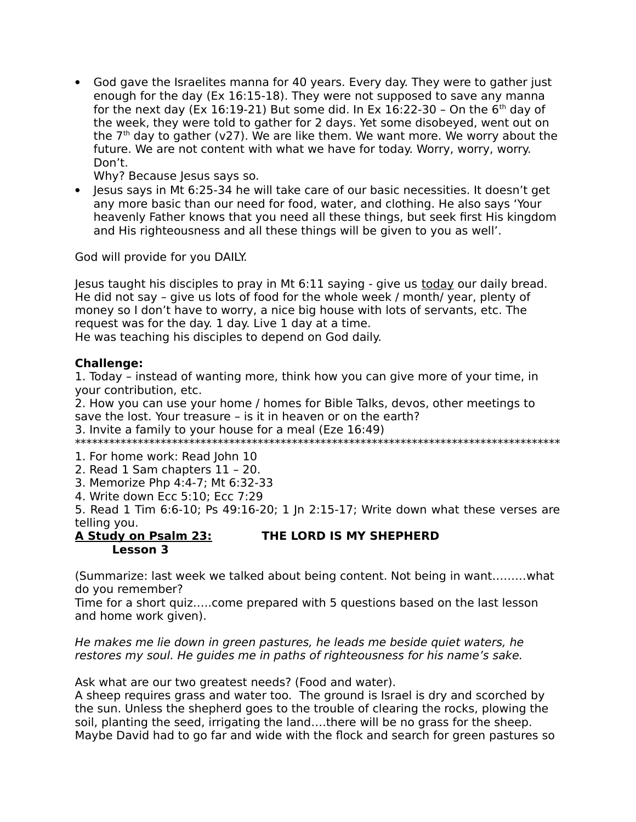God gave the Israelites manna for 40 years. Every day. They were to gather just enough for the day (Ex 16:15-18). They were not supposed to save any manna for the next day (Ex 16:19-21) But some did. In Ex 16:22-30 - On the  $6<sup>th</sup>$  day of the week, they were told to gather for 2 days. Yet some disobeyed, went out on the  $7<sup>th</sup>$  day to gather (v27). We are like them. We want more. We worry about the future. We are not content with what we have for today. Worry, worry, worry. Don't.

Why? Because Jesus says so.

 $\bullet$  lesus says in Mt 6:25-34 he will take care of our basic necessities. It doesn't get any more basic than our need for food, water, and clothing. He also says 'Your heavenly Father knows that you need all these things, but seek first His kingdom and His righteousness and all these things will be given to you as well'.

God will provide for you DAILY.

Jesus taught his disciples to pray in Mt 6:11 saying - give us today our daily bread. He did not say – give us lots of food for the whole week / month/ year, plenty of money so I don't have to worry, a nice big house with lots of servants, etc. The request was for the day. 1 day. Live 1 day at a time. He was teaching his disciples to depend on God daily.

### **Challenge:**

1. Today – instead of wanting more, think how you can give more of your time, in your contribution, etc.

2. How you can use your home / homes for Bible Talks, devos, other meetings to save the lost. Your treasure – is it in heaven or on the earth?

3. Invite a family to your house for a meal (Eze 16:49)

\*\*\*\*\*\*\*\*\*\*\*\*\*\*\*\*\*\*\*\*\*\*\*\*\*\*\*\*\*\*\*\*\*\*\*\*\*\*\*\*\*\*\*\*\*\*\*\*\*\*\*\*\*\*\*\*\*\*\*\*\*\*\*\*\*\*\*\*\*\*\*\*\*\*\*\*\*\*\*\*\*\*\*\*\*

1. For home work: Read John 10

- 2. Read 1 Sam chapters 11 20.
- 3. Memorize Php 4:4-7; Mt 6:32-33
- 4. Write down Ecc 5:10; Ecc 7:29

5. Read 1 Tim 6:6-10; Ps 49:16-20; 1 Jn 2:15-17; Write down what these verses are telling you.

### **A Study on Psalm 23: THE LORD IS MY SHEPHERD Lesson 3**

(Summarize: last week we talked about being content. Not being in want………what do you remember?

Time for a short quiz…..come prepared with 5 questions based on the last lesson and home work given).

He makes me lie down in green pastures, he leads me beside quiet waters, he restores my soul. He guides me in paths of righteousness for his name's sake.

Ask what are our two greatest needs? (Food and water).

A sheep requires grass and water too. The ground is Israel is dry and scorched by the sun. Unless the shepherd goes to the trouble of clearing the rocks, plowing the soil, planting the seed, irrigating the land….there will be no grass for the sheep. Maybe David had to go far and wide with the flock and search for green pastures so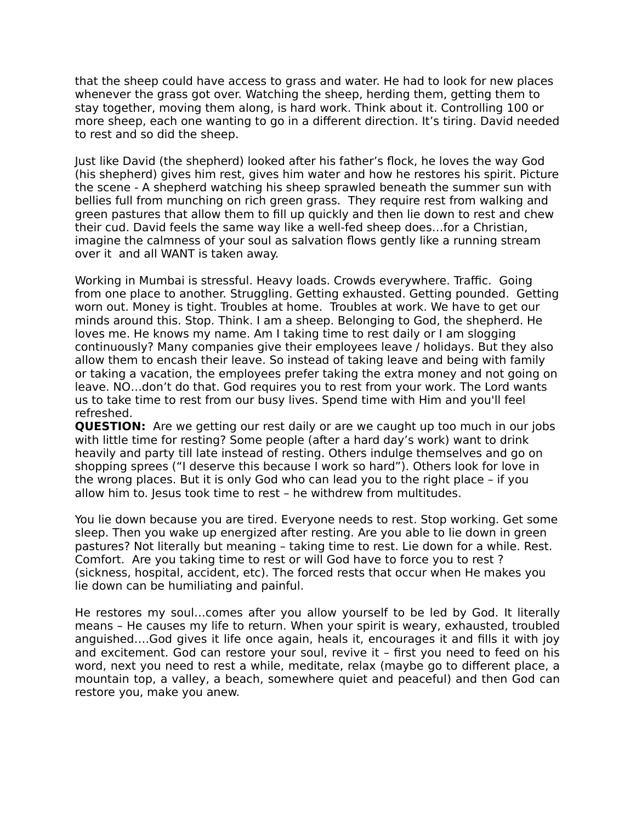that the sheep could have access to grass and water. He had to look for new places whenever the grass got over. Watching the sheep, herding them, getting them to stay together, moving them along, is hard work. Think about it. Controlling 100 or more sheep, each one wanting to go in a different direction. It's tiring. David needed to rest and so did the sheep.

Just like David (the shepherd) looked after his father's flock, he loves the way God (his shepherd) gives him rest, gives him water and how he restores his spirit. Picture the scene - A shepherd watching his sheep sprawled beneath the summer sun with bellies full from munching on rich green grass. They require rest from walking and green pastures that allow them to fill up quickly and then lie down to rest and chew their cud. David feels the same way like a well-fed sheep does…for a Christian, imagine the calmness of your soul as salvation flows gently like a running stream over it and all WANT is taken away.

Working in Mumbai is stressful. Heavy loads. Crowds everywhere. Traffic. Going from one place to another. Struggling. Getting exhausted. Getting pounded. Getting worn out. Money is tight. Troubles at home. Troubles at work. We have to get our minds around this. Stop. Think. I am a sheep. Belonging to God, the shepherd. He loves me. He knows my name. Am I taking time to rest daily or I am slogging continuously? Many companies give their employees leave / holidays. But they also allow them to encash their leave. So instead of taking leave and being with family or taking a vacation, the employees prefer taking the extra money and not going on leave. NO…don't do that. God requires you to rest from your work. The Lord wants us to take time to rest from our busy lives. Spend time with Him and you'll feel refreshed.

**QUESTION:** Are we getting our rest daily or are we caught up too much in our jobs with little time for resting? Some people (after a hard day's work) want to drink heavily and party till late instead of resting. Others indulge themselves and go on shopping sprees ("I deserve this because I work so hard"). Others look for love in the wrong places. But it is only God who can lead you to the right place – if you allow him to. Jesus took time to rest – he withdrew from multitudes.

You lie down because you are tired. Everyone needs to rest. Stop working. Get some sleep. Then you wake up energized after resting. Are you able to lie down in green pastures? Not literally but meaning – taking time to rest. Lie down for a while. Rest. Comfort. Are you taking time to rest or will God have to force you to rest ? (sickness, hospital, accident, etc). The forced rests that occur when He makes you lie down can be humiliating and painful.

He restores my soul…comes after you allow yourself to be led by God. It literally means – He causes my life to return. When your spirit is weary, exhausted, troubled anguished….God gives it life once again, heals it, encourages it and fills it with joy and excitement. God can restore your soul, revive it – first you need to feed on his word, next you need to rest a while, meditate, relax (maybe go to different place, a mountain top, a valley, a beach, somewhere quiet and peaceful) and then God can restore you, make you anew.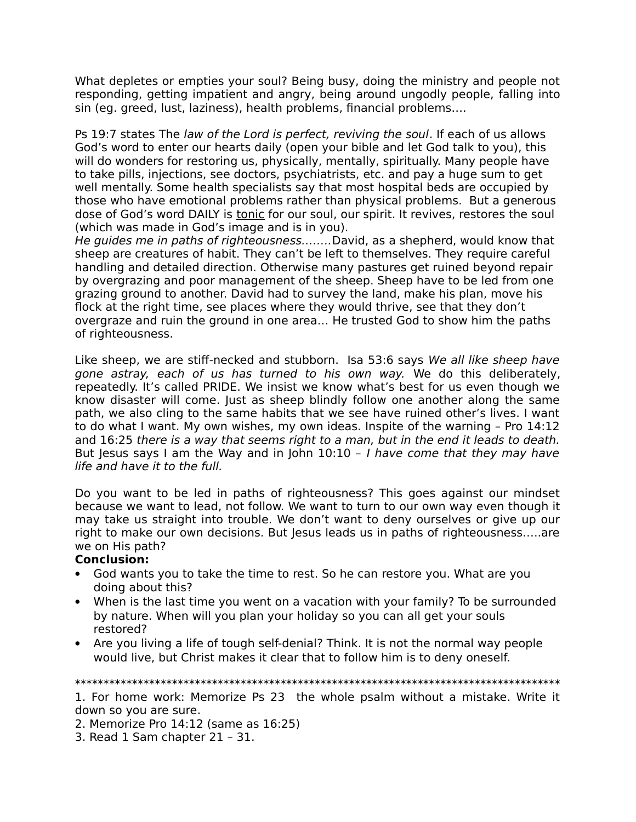What depletes or empties your soul? Being busy, doing the ministry and people not responding, getting impatient and angry, being around ungodly people, falling into sin (eg. greed, lust, laziness), health problems, financial problems….

Ps 19:7 states The law of the Lord is perfect, reviving the soul. If each of us allows God's word to enter our hearts daily (open your bible and let God talk to you), this will do wonders for restoring us, physically, mentally, spiritually. Many people have to take pills, injections, see doctors, psychiatrists, etc. and pay a huge sum to get well mentally. Some health specialists say that most hospital beds are occupied by those who have emotional problems rather than physical problems. But a generous dose of God's word DAILY is tonic for our soul, our spirit. It revives, restores the soul (which was made in God's image and is in you).

He guides me in paths of righteousness……..David, as a shepherd, would know that sheep are creatures of habit. They can't be left to themselves. They require careful handling and detailed direction. Otherwise many pastures get ruined beyond repair by overgrazing and poor management of the sheep. Sheep have to be led from one grazing ground to another. David had to survey the land, make his plan, move his flock at the right time, see places where they would thrive, see that they don't overgraze and ruin the ground in one area… He trusted God to show him the paths of righteousness.

Like sheep, we are stiff-necked and stubborn. Isa 53:6 says We all like sheep have gone astray, each of us has turned to his own way. We do this deliberately, repeatedly. It's called PRIDE. We insist we know what's best for us even though we know disaster will come. Just as sheep blindly follow one another along the same path, we also cling to the same habits that we see have ruined other's lives. I want to do what I want. My own wishes, my own ideas. Inspite of the warning – Pro 14:12 and 16:25 there is a way that seems right to a man, but in the end it leads to death. But Jesus says I am the Way and in John  $10:10$  - *I have come that they may have* life and have it to the full.

Do you want to be led in paths of righteousness? This goes against our mindset because we want to lead, not follow. We want to turn to our own way even though it may take us straight into trouble. We don't want to deny ourselves or give up our right to make our own decisions. But Jesus leads us in paths of righteousness…..are we on His path?

# **Conclusion:**

- God wants you to take the time to rest. So he can restore you. What are you doing about this?
- When is the last time you went on a vacation with your family? To be surrounded by nature. When will you plan your holiday so you can all get your souls restored?
- Are you living a life of tough self-denial? Think. It is not the normal way people would live, but Christ makes it clear that to follow him is to deny oneself.

#### \*\*\*\*\*\*\*\*\*\*\*\*\*\*\*\*\*\*\*\*\*\*\*\*\*\*\*\*\*\*\*\*\*\*\*\*\*\*\*\*\*\*\*\*\*\*\*\*\*\*\*\*\*\*\*\*\*\*\*\*\*\*\*\*\*\*\*\*\*\*\*\*\*\*\*\*\*\*\*\*\*\*\*\*\*

1. For home work: Memorize Ps 23 the whole psalm without a mistake. Write it down so you are sure.

2. Memorize Pro 14:12 (same as 16:25)

3. Read 1 Sam chapter 21 – 31.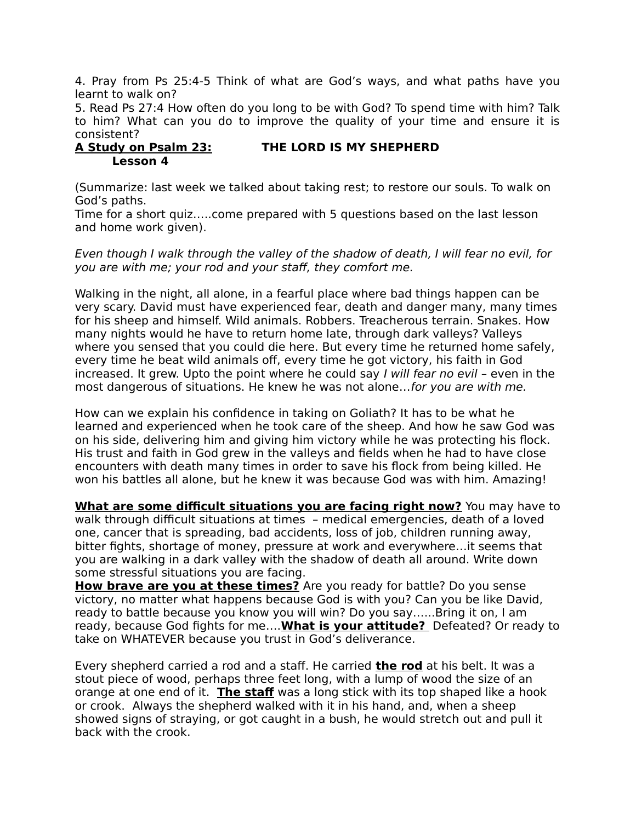4. Pray from Ps 25:4-5 Think of what are God's ways, and what paths have you learnt to walk on?

5. Read Ps 27:4 How often do you long to be with God? To spend time with him? Talk to him? What can you do to improve the quality of your time and ensure it is consistent?

### **A Study on Psalm 23: THE LORD IS MY SHEPHERD Lesson 4**

(Summarize: last week we talked about taking rest; to restore our souls. To walk on God's paths.

Time for a short quiz…..come prepared with 5 questions based on the last lesson and home work given).

Even though I walk through the valley of the shadow of death, I will fear no evil, for you are with me; your rod and your staff, they comfort me.

Walking in the night, all alone, in a fearful place where bad things happen can be very scary. David must have experienced fear, death and danger many, many times for his sheep and himself. Wild animals. Robbers. Treacherous terrain. Snakes. How many nights would he have to return home late, through dark valleys? Valleys where you sensed that you could die here. But every time he returned home safely, every time he beat wild animals off, every time he got victory, his faith in God increased. It grew. Upto the point where he could say I will fear no evil – even in the most dangerous of situations. He knew he was not alone…for you are with me.

How can we explain his confidence in taking on Goliath? It has to be what he learned and experienced when he took care of the sheep. And how he saw God was on his side, delivering him and giving him victory while he was protecting his flock. His trust and faith in God grew in the valleys and fields when he had to have close encounters with death many times in order to save his flock from being killed. He won his battles all alone, but he knew it was because God was with him. Amazing!

**What are some difficult situations you are facing right now?** You may have to walk through difficult situations at times – medical emergencies, death of a loved one, cancer that is spreading, bad accidents, loss of job, children running away, bitter fights, shortage of money, pressure at work and everywhere…it seems that you are walking in a dark valley with the shadow of death all around. Write down some stressful situations you are facing.

**How brave are you at these times?** Are you ready for battle? Do you sense victory, no matter what happens because God is with you? Can you be like David, ready to battle because you know you will win? Do you say…...Bring it on, I am ready, because God fights for me…. **What is your attitude?** Defeated? Or ready to take on WHATEVER because you trust in God's deliverance.

Every shepherd carried a rod and a staff. He carried **the rod** at his belt. It was a stout piece of wood, perhaps three feet long, with a lump of wood the size of an orange at one end of it. **The staf** was a long stick with its top shaped like a hook or crook. Always the shepherd walked with it in his hand, and, when a sheep showed signs of straying, or got caught in a bush, he would stretch out and pull it back with the crook.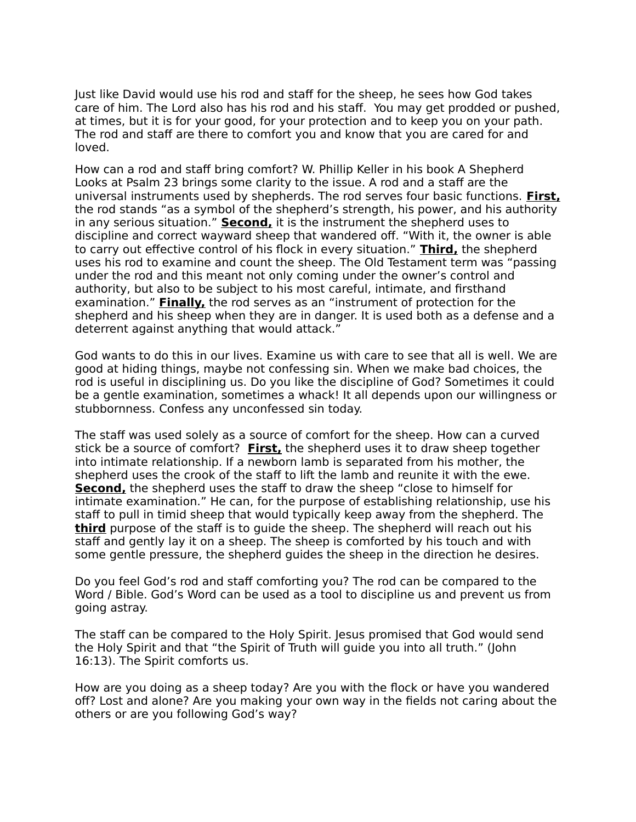Just like David would use his rod and staff for the sheep, he sees how God takes care of him. The Lord also has his rod and his staff. You may get prodded or pushed, at times, but it is for your good, for your protection and to keep you on your path. The rod and staff are there to comfort you and know that you are cared for and loved.

How can a rod and staff bring comfort? W. Phillip Keller in his book A Shepherd Looks at Psalm 23 brings some clarity to the issue. A rod and a staff are the universal instruments used by shepherds. The rod serves four basic functions. **First,** the rod stands "as a symbol of the shepherd's strength, his power, and his authority in any serious situation." **Second,** it is the instrument the shepherd uses to discipline and correct wayward sheep that wandered off. "With it, the owner is able to carry out effective control of his flock in every situation." **Third,** the shepherd uses his rod to examine and count the sheep. The Old Testament term was "passing under the rod and this meant not only coming under the owner's control and authority, but also to be subject to his most careful, intimate, and firsthand examination." **Finally,** the rod serves as an "instrument of protection for the shepherd and his sheep when they are in danger. It is used both as a defense and a deterrent against anything that would attack."

God wants to do this in our lives. Examine us with care to see that all is well. We are good at hiding things, maybe not confessing sin. When we make bad choices, the rod is useful in disciplining us. Do you like the discipline of God? Sometimes it could be a gentle examination, sometimes a whack! It all depends upon our willingness or stubbornness. Confess any unconfessed sin today.

The staff was used solely as a source of comfort for the sheep. How can a curved stick be a source of comfort? **First,** the shepherd uses it to draw sheep together into intimate relationship. If a newborn lamb is separated from his mother, the shepherd uses the crook of the staff to lift the lamb and reunite it with the ewe. **Second,** the shepherd uses the staff to draw the sheep "close to himself for intimate examination." He can, for the purpose of establishing relationship, use his staff to pull in timid sheep that would typically keep away from the shepherd. The **third** purpose of the staff is to guide the sheep. The shepherd will reach out his staff and gently lay it on a sheep. The sheep is comforted by his touch and with some gentle pressure, the shepherd guides the sheep in the direction he desires.

Do you feel God's rod and staff comforting you? The rod can be compared to the Word / Bible. God's Word can be used as a tool to discipline us and prevent us from going astray.

The staff can be compared to the Holy Spirit. Jesus promised that God would send the Holy Spirit and that "the Spirit of Truth will guide you into all truth." (John 16:13). The Spirit comforts us.

How are you doing as a sheep today? Are you with the flock or have you wandered off? Lost and alone? Are you making your own way in the fields not caring about the others or are you following God's way?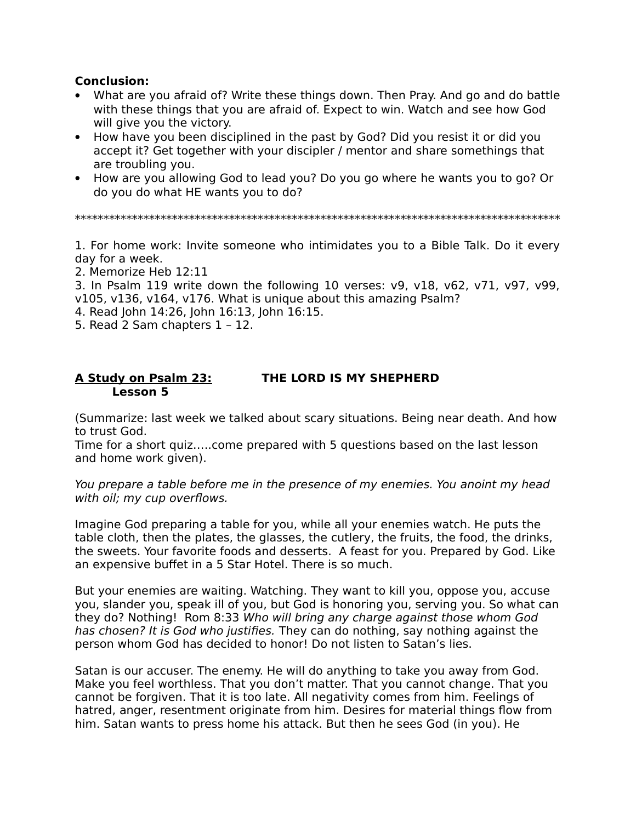## **Conclusion:**

- What are you afraid of? Write these things down. Then Pray. And go and do battle with these things that you are afraid of. Expect to win. Watch and see how God will give you the victory.
- How have you been disciplined in the past by God? Did you resist it or did you accept it? Get together with your discipler / mentor and share somethings that are troubling you.
- How are you allowing God to lead you? Do you go where he wants you to go? Or do you do what HE wants you to do?

\*\*\*\*\*\*\*\*\*\*\*\*\*\*\*\*\*\*\*\*\*\*\*\*\*\*\*\*\*\*\*\*\*\*\*\*\*\*\*\*\*\*\*\*\*\*\*\*\*\*\*\*\*\*\*\*\*\*\*\*\*\*\*\*\*\*\*\*\*\*\*\*\*\*\*\*\*\*\*\*\*\*\*\*\*

1. For home work: Invite someone who intimidates you to a Bible Talk. Do it every day for a week.

2. Memorize Heb 12:11

3. In Psalm 119 write down the following 10 verses: v9, v18, v62, v71, v97, v99, v105, v136, v164, v176. What is unique about this amazing Psalm?

- 4. Read John 14:26, John 16:13, John 16:15.
- 5. Read 2 Sam chapters 1 12.

### **A Study on Psalm 23: THE LORD IS MY SHEPHERD Lesson 5**

(Summarize: last week we talked about scary situations. Being near death. And how to trust God.

Time for a short quiz…..come prepared with 5 questions based on the last lesson and home work given).

You prepare a table before me in the presence of my enemies. You anoint my head with oil; my cup overflows.

Imagine God preparing a table for you, while all your enemies watch. He puts the table cloth, then the plates, the glasses, the cutlery, the fruits, the food, the drinks, the sweets. Your favorite foods and desserts. A feast for you. Prepared by God. Like an expensive buffet in a 5 Star Hotel. There is so much.

But your enemies are waiting. Watching. They want to kill you, oppose you, accuse you, slander you, speak ill of you, but God is honoring you, serving you. So what can they do? Nothing! Rom 8:33 Who will bring any charge against those whom God has chosen? It is God who justifies. They can do nothing, say nothing against the person whom God has decided to honor! Do not listen to Satan's lies.

Satan is our accuser. The enemy. He will do anything to take you away from God. Make you feel worthless. That you don't matter. That you cannot change. That you cannot be forgiven. That it is too late. All negativity comes from him. Feelings of hatred, anger, resentment originate from him. Desires for material things flow from him. Satan wants to press home his attack. But then he sees God (in you). He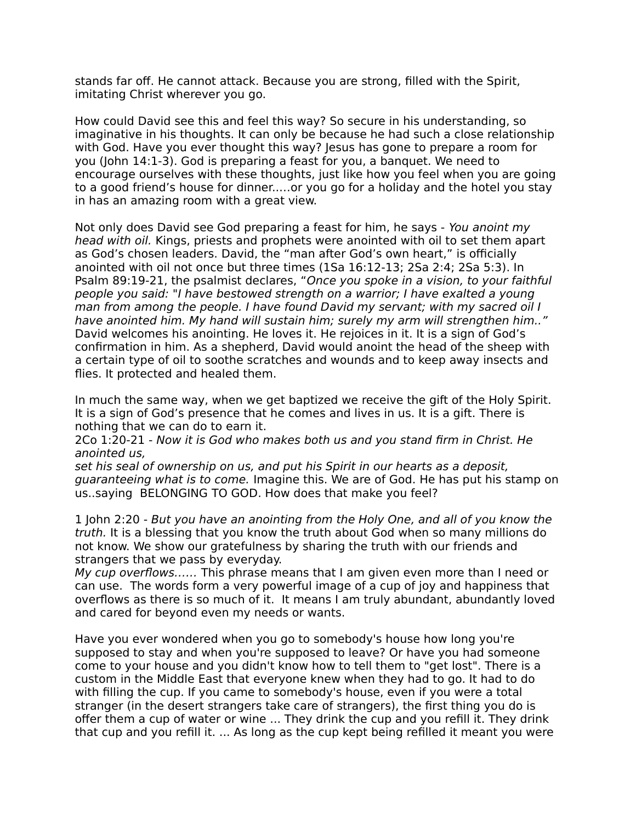stands far off. He cannot attack. Because you are strong, filled with the Spirit, imitating Christ wherever you go.

How could David see this and feel this way? So secure in his understanding, so imaginative in his thoughts. It can only be because he had such a close relationship with God. Have you ever thought this way? Jesus has gone to prepare a room for you (John 14:1-3). God is preparing a feast for you, a banquet. We need to encourage ourselves with these thoughts, just like how you feel when you are going to a good friend's house for dinner..…or you go for a holiday and the hotel you stay in has an amazing room with a great view.

Not only does David see God preparing a feast for him, he says - You anoint my head with oil. Kings, priests and prophets were anointed with oil to set them apart as God's chosen leaders. David, the "man after God's own heart," is officially anointed with oil not once but three times (1Sa 16:12-13; 2Sa 2:4; 2Sa 5:3). In Psalm 89:19-21, the psalmist declares, "Once you spoke in a vision, to your faithful people you said: "I have bestowed strength on a warrior; I have exalted a young man from among the people. I have found David my servant; with my sacred oil I have anointed him. My hand will sustain him; surely my arm will strengthen him.." David welcomes his anointing. He loves it. He rejoices in it. It is a sign of God's confirmation in him. As a shepherd, David would anoint the head of the sheep with a certain type of oil to soothe scratches and wounds and to keep away insects and flies. It protected and healed them.

In much the same way, when we get baptized we receive the gift of the Holy Spirit. It is a sign of God's presence that he comes and lives in us. It is a gift. There is nothing that we can do to earn it.

2Co 1:20-21 - Now it is God who makes both us and you stand firm in Christ. He anointed us,

set his seal of ownership on us, and put his Spirit in our hearts as a deposit, guaranteeing what is to come. Imagine this. We are of God. He has put his stamp on us..saying BELONGING TO GOD. How does that make you feel?

1 John 2:20 - But you have an anointing from the Holy One, and all of you know the truth. It is a blessing that you know the truth about God when so many millions do not know. We show our gratefulness by sharing the truth with our friends and strangers that we pass by everyday.

My cup overflows…… This phrase means that I am given even more than I need or can use. The words form a very powerful image of a cup of joy and happiness that overflows as there is so much of it. It means I am truly abundant, abundantly loved and cared for beyond even my needs or wants.

Have you ever wondered when you go to somebody's house how long you're supposed to stay and when you're supposed to leave? Or have you had someone come to your house and you didn't know how to tell them to "get lost". There is a custom in the Middle East that everyone knew when they had to go. It had to do with filling the cup. If you came to somebody's house, even if you were a total stranger (in the desert strangers take care of strangers), the first thing you do is offer them a cup of water or wine ... They drink the cup and you refill it. They drink that cup and you refill it. ... As long as the cup kept being refilled it meant you were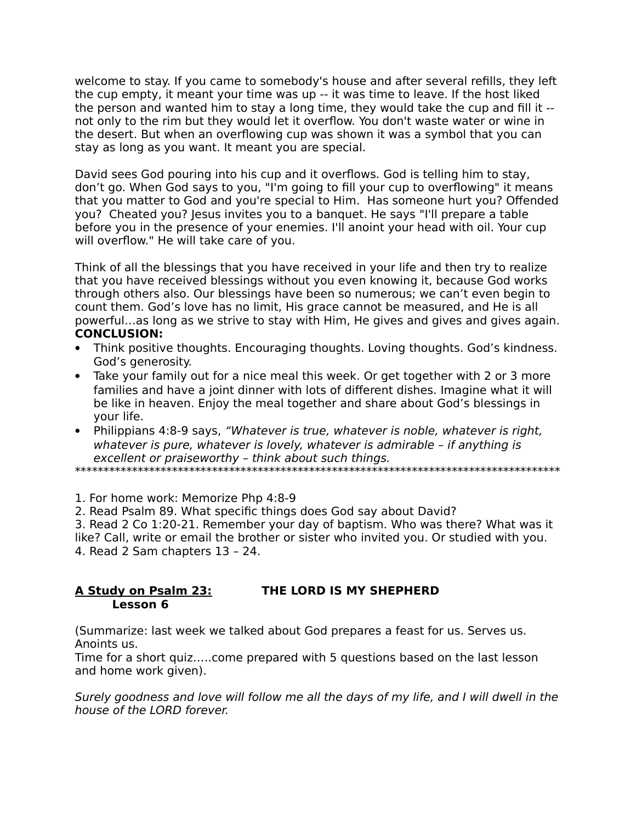welcome to stay. If you came to somebody's house and after several refills, they left the cup empty, it meant your time was up -- it was time to leave. If the host liked the person and wanted him to stay a long time, they would take the cup and fill it - not only to the rim but they would let it overflow. You don't waste water or wine in the desert. But when an overflowing cup was shown it was a symbol that you can stay as long as you want. It meant you are special.

David sees God pouring into his cup and it overflows. God is telling him to stay, don't go. When God says to you, "I'm going to fill your cup to overflowing" it means that you matter to God and you're special to Him. Has someone hurt you? Offended you? Cheated you? Jesus invites you to a banquet. He says "I'll prepare a table before you in the presence of your enemies. I'll anoint your head with oil. Your cup will overflow." He will take care of you.

Think of all the blessings that you have received in your life and then try to realize that you have received blessings without you even knowing it, because God works through others also. Our blessings have been so numerous; we can't even begin to count them. God's love has no limit, His grace cannot be measured, and He is all powerful…as long as we strive to stay with Him, He gives and gives and gives again. **CONCLUSION:**

- Think positive thoughts. Encouraging thoughts. Loving thoughts. God's kindness. God's generosity.
- Take your family out for a nice meal this week. Or get together with 2 or 3 more families and have a joint dinner with lots of different dishes. Imagine what it will be like in heaven. Enjoy the meal together and share about God's blessings in your life.
- Philippians 4:8-9 says, "Whatever is true, whatever is noble, whatever is right, whatever is pure, whatever is lovely, whatever is admirable – if anything is excellent or praiseworthy – think about such things.

\*\*\*\*\*\*\*\*\*\*\*\*\*\*\*\*\*\*\*\*\*\*\*\*\*\*\*\*\*\*\*\*\*\*\*\*\*\*\*\*\*\*\*\*\*\*\*\*\*\*\*\*\*\*\*\*\*\*\*\*\*\*\*\*\*\*\*\*\*\*\*\*\*\*\*\*\*\*\*\*\*\*\*\*\*

1. For home work: Memorize Php 4:8-9

2. Read Psalm 89. What specific things does God say about David?

3. Read 2 Co 1:20-21. Remember your day of baptism. Who was there? What was it like? Call, write or email the brother or sister who invited you. Or studied with you. 4. Read 2 Sam chapters 13 – 24.

## **A Study on Psalm 23: THE LORD IS MY SHEPHERD Lesson 6**

(Summarize: last week we talked about God prepares a feast for us. Serves us. Anoints us.

Time for a short quiz…..come prepared with 5 questions based on the last lesson and home work given).

Surely goodness and love will follow me all the days of my life, and I will dwell in the house of the LORD forever.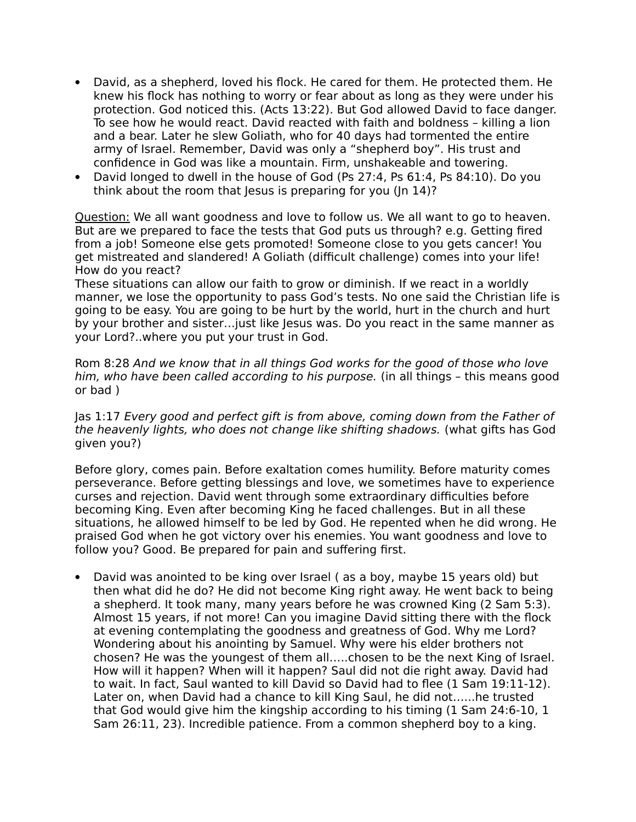- David, as a shepherd, loved his flock. He cared for them. He protected them. He knew his flock has nothing to worry or fear about as long as they were under his protection. God noticed this. (Acts 13:22). But God allowed David to face danger. To see how he would react. David reacted with faith and boldness – killing a lion and a bear. Later he slew Goliath, who for 40 days had tormented the entire army of Israel. Remember, David was only a "shepherd boy". His trust and confidence in God was like a mountain. Firm, unshakeable and towering.
- David longed to dwell in the house of God (Ps 27:4, Ps 61:4, Ps 84:10). Do you think about the room that Jesus is preparing for you (In 14)?

Question: We all want goodness and love to follow us. We all want to go to heaven. But are we prepared to face the tests that God puts us through? e.g. Getting fired from a job! Someone else gets promoted! Someone close to you gets cancer! You get mistreated and slandered! A Goliath (difficult challenge) comes into your life! How do you react?

These situations can allow our faith to grow or diminish. If we react in a worldly manner, we lose the opportunity to pass God's tests. No one said the Christian life is going to be easy. You are going to be hurt by the world, hurt in the church and hurt by your brother and sister…just like Jesus was. Do you react in the same manner as your Lord?..where you put your trust in God.

Rom 8:28 And we know that in all things God works for the good of those who love him, who have been called according to his purpose. (in all things – this means good or bad )

Jas 1:17 Every good and perfect gift is from above, coming down from the Father of the heavenly lights, who does not change like shifting shadows. (what gifts has God given you?)

Before glory, comes pain. Before exaltation comes humility. Before maturity comes perseverance. Before getting blessings and love, we sometimes have to experience curses and rejection. David went through some extraordinary difficulties before becoming King. Even after becoming King he faced challenges. But in all these situations, he allowed himself to be led by God. He repented when he did wrong. He praised God when he got victory over his enemies. You want goodness and love to follow you? Good. Be prepared for pain and suffering first.

 David was anointed to be king over Israel ( as a boy, maybe 15 years old) but then what did he do? He did not become King right away. He went back to being a shepherd. It took many, many years before he was crowned King (2 Sam 5:3). Almost 15 years, if not more! Can you imagine David sitting there with the flock at evening contemplating the goodness and greatness of God. Why me Lord? Wondering about his anointing by Samuel. Why were his elder brothers not chosen? He was the youngest of them all…..chosen to be the next King of Israel. How will it happen? When will it happen? Saul did not die right away. David had to wait. In fact, Saul wanted to kill David so David had to flee (1 Sam 19:11-12). Later on, when David had a chance to kill King Saul, he did not…...he trusted that God would give him the kingship according to his timing (1 Sam 24:6-10, 1 Sam 26:11, 23). Incredible patience. From a common shepherd boy to a king.